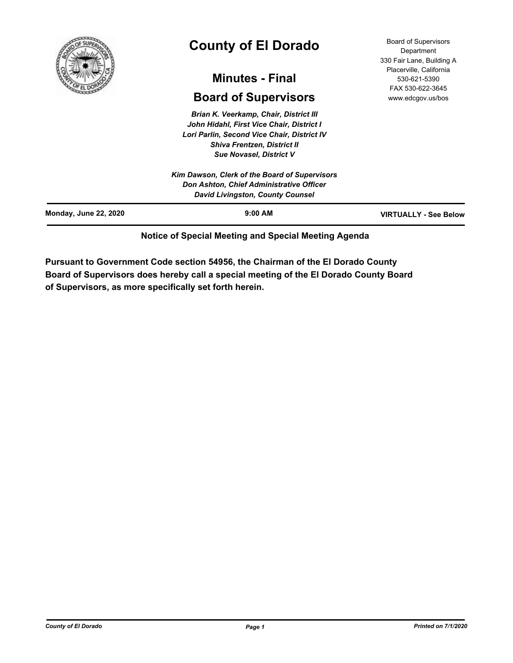

# **County of El Dorado**

# **Minutes - Final**

# **Board of Supervisors**

*Brian K. Veerkamp, Chair, District III John Hidahl, First Vice Chair, District I Lori Parlin, Second Vice Chair, District IV Shiva Frentzen, District II Sue Novasel, District V*

Board of Supervisors **Department** 330 Fair Lane, Building A Placerville, California 530-621-5390 FAX 530-622-3645 www.edcgov.us/bos

## **Notice of Special Meeting and Special Meeting Agenda**

**Pursuant to Government Code section 54956, the Chairman of the El Dorado County Board of Supervisors does hereby call a special meeting of the El Dorado County Board of Supervisors, as more specifically set forth herein.**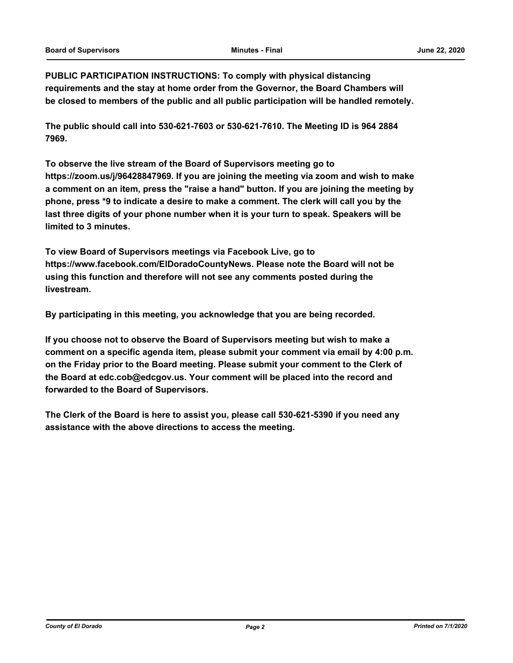**PUBLIC PARTICIPATION INSTRUCTIONS: To comply with physical distancing requirements and the stay at home order from the Governor, the Board Chambers will be closed to members of the public and all public participation will be handled remotely.** 

**The public should call into 530-621-7603 or 530-621-7610. The Meeting ID is 964 2884 7969.** 

**To observe the live stream of the Board of Supervisors meeting go to https://zoom.us/j/96428847969. If you are joining the meeting via zoom and wish to make a comment on an item, press the "raise a hand" button. If you are joining the meeting by phone, press \*9 to indicate a desire to make a comment. The clerk will call you by the last three digits of your phone number when it is your turn to speak. Speakers will be limited to 3 minutes.** 

**To view Board of Supervisors meetings via Facebook Live, go to https://www.facebook.com/ElDoradoCountyNews. Please note the Board will not be using this function and therefore will not see any comments posted during the livestream.** 

**By participating in this meeting, you acknowledge that you are being recorded.**

**If you choose not to observe the Board of Supervisors meeting but wish to make a comment on a specific agenda item, please submit your comment via email by 4:00 p.m. on the Friday prior to the Board meeting. Please submit your comment to the Clerk of the Board at edc.cob@edcgov.us. Your comment will be placed into the record and forwarded to the Board of Supervisors.** 

**The Clerk of the Board is here to assist you, please call 530-621-5390 if you need any assistance with the above directions to access the meeting.**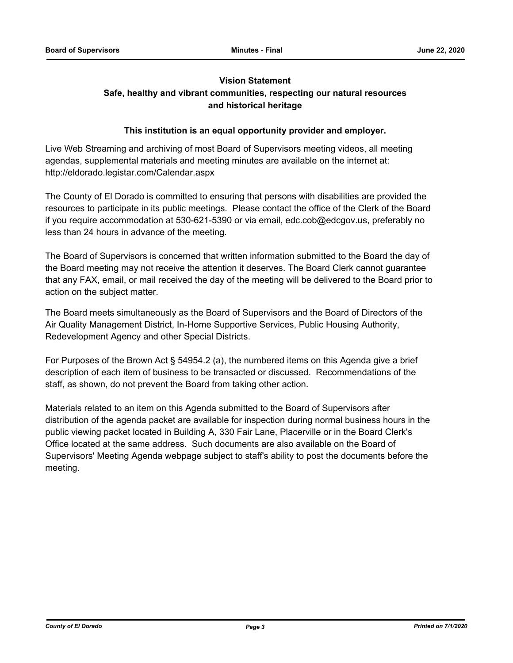# **Vision Statement Safe, healthy and vibrant communities, respecting our natural resources and historical heritage**

### **This institution is an equal opportunity provider and employer.**

Live Web Streaming and archiving of most Board of Supervisors meeting videos, all meeting agendas, supplemental materials and meeting minutes are available on the internet at: http://eldorado.legistar.com/Calendar.aspx

The County of El Dorado is committed to ensuring that persons with disabilities are provided the resources to participate in its public meetings. Please contact the office of the Clerk of the Board if you require accommodation at 530-621-5390 or via email, edc.cob@edcgov.us, preferably no less than 24 hours in advance of the meeting.

The Board of Supervisors is concerned that written information submitted to the Board the day of the Board meeting may not receive the attention it deserves. The Board Clerk cannot guarantee that any FAX, email, or mail received the day of the meeting will be delivered to the Board prior to action on the subject matter.

The Board meets simultaneously as the Board of Supervisors and the Board of Directors of the Air Quality Management District, In-Home Supportive Services, Public Housing Authority, Redevelopment Agency and other Special Districts.

For Purposes of the Brown Act § 54954.2 (a), the numbered items on this Agenda give a brief description of each item of business to be transacted or discussed. Recommendations of the staff, as shown, do not prevent the Board from taking other action.

Materials related to an item on this Agenda submitted to the Board of Supervisors after distribution of the agenda packet are available for inspection during normal business hours in the public viewing packet located in Building A, 330 Fair Lane, Placerville or in the Board Clerk's Office located at the same address. Such documents are also available on the Board of Supervisors' Meeting Agenda webpage subject to staff's ability to post the documents before the meeting.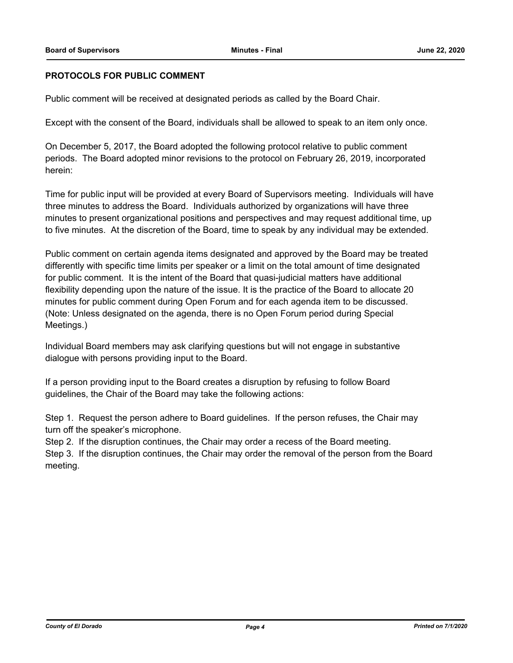#### **PROTOCOLS FOR PUBLIC COMMENT**

Public comment will be received at designated periods as called by the Board Chair.

Except with the consent of the Board, individuals shall be allowed to speak to an item only once.

On December 5, 2017, the Board adopted the following protocol relative to public comment periods. The Board adopted minor revisions to the protocol on February 26, 2019, incorporated herein:

Time for public input will be provided at every Board of Supervisors meeting. Individuals will have three minutes to address the Board. Individuals authorized by organizations will have three minutes to present organizational positions and perspectives and may request additional time, up to five minutes. At the discretion of the Board, time to speak by any individual may be extended.

Public comment on certain agenda items designated and approved by the Board may be treated differently with specific time limits per speaker or a limit on the total amount of time designated for public comment. It is the intent of the Board that quasi-judicial matters have additional flexibility depending upon the nature of the issue. It is the practice of the Board to allocate 20 minutes for public comment during Open Forum and for each agenda item to be discussed. (Note: Unless designated on the agenda, there is no Open Forum period during Special Meetings.)

Individual Board members may ask clarifying questions but will not engage in substantive dialogue with persons providing input to the Board.

If a person providing input to the Board creates a disruption by refusing to follow Board guidelines, the Chair of the Board may take the following actions:

Step 1. Request the person adhere to Board guidelines. If the person refuses, the Chair may turn off the speaker's microphone.

Step 2. If the disruption continues, the Chair may order a recess of the Board meeting. Step 3. If the disruption continues, the Chair may order the removal of the person from the Board meeting.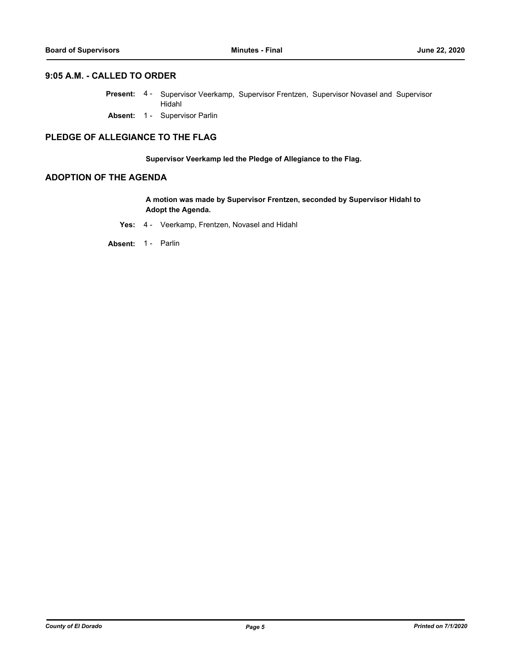#### **9:05 A.M. - CALLED TO ORDER**

- Present: 4 Supervisor Veerkamp, Supervisor Frentzen, Supervisor Novasel and Supervisor Hidahl
- **Absent:** 1 Supervisor Parlin

### **PLEDGE OF ALLEGIANCE TO THE FLAG**

**Supervisor Veerkamp led the Pledge of Allegiance to the Flag.**

#### **ADOPTION OF THE AGENDA**

**A motion was made by Supervisor Frentzen, seconded by Supervisor Hidahl to Adopt the Agenda.**

**Yes:** 4 - Veerkamp, Frentzen, Novasel and Hidahl

**Absent:** 1 - Parlin